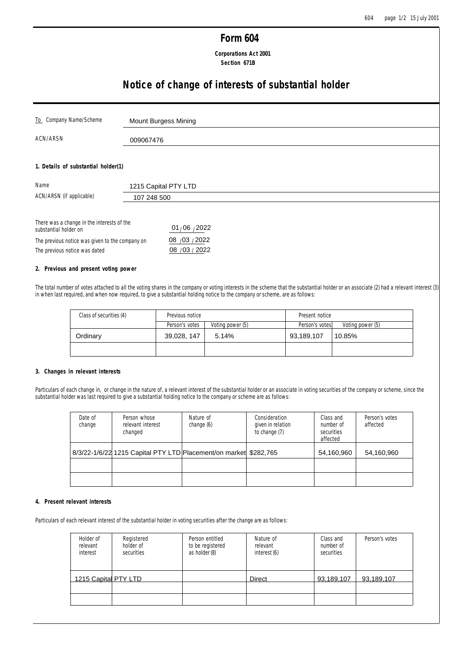# **Form 604**

# **Corporations Act 2001 Section 671B**

# **Notice of change of interests of substantial holder**

| To Company Name/Scheme              | Mount Burgess Mining |
|-------------------------------------|----------------------|
| ACN/ARSN                            | 009067476            |
| 1. Details of substantial holder(1) |                      |
|                                     |                      |
| Name                                | 1215 Capital PTY LTD |
| ACN/ARSN (if applicable)            | 107 248 500          |

| substantial holder on                           | 01/06 / 2022   |
|-------------------------------------------------|----------------|
| The previous notice was given to the company on | 08 /03 / 2022  |
| The previous notice was dated                   | 08 / 03 / 2022 |

## **2. Previous and present voting power**

The total number of votes attached to all the voting shares in the company or voting interests in the scheme that the substantial holder or an associate (2) had a relevant interest (3) in when last required, and when now required, to give a substantial holding notice to the company or scheme, are as follows:

| Class of securities (4) | Previous notice |                  | Present notice |                  |
|-------------------------|-----------------|------------------|----------------|------------------|
|                         | Person's votes  | Voting power (5) | Person's votes | Voting power (5) |
| Ordinarv                | 39,028, 147     | 5.14%            | 93,189,107     | 10.85%           |
|                         |                 |                  |                |                  |

## **3. Changes in relevant interests**

Particulars of each change in, or change in the nature of, a relevant interest of the substantial holder or an associate in voting securities of the company or scheme, since the substantial holder was last required to give a substantial holding notice to the company or scheme are as follows:

| Date of<br>change | Person whose<br>relevant interest<br>changed                     | Nature of<br>change (6) | Consideration<br>given in relation<br>to change (7) | Class and<br>number of<br>securities<br>affected | Person's votes<br>affected |
|-------------------|------------------------------------------------------------------|-------------------------|-----------------------------------------------------|--------------------------------------------------|----------------------------|
|                   | 8/3/22-1/6/22 1215 Capital PTY LTD Placement/on market \$282,765 |                         |                                                     | 54,160,960                                       | 54,160,960                 |
|                   |                                                                  |                         |                                                     |                                                  |                            |
|                   |                                                                  |                         |                                                     |                                                  |                            |

#### **4. Present relevant interests**

Particulars of each relevant interest of the substantial holder in voting securities after the change are as follows:

| Holder of<br>relevant<br>interest | Registered<br>holder of<br>securities | Person entitled<br>to be registered<br>as holder (8) | Nature of<br>relevant<br>interest (6) | Class and<br>number of<br>securities | Person's votes |
|-----------------------------------|---------------------------------------|------------------------------------------------------|---------------------------------------|--------------------------------------|----------------|
| 1215 Capital PTY LTD              |                                       |                                                      | Direct                                | 93,189,107                           | 93,189,107     |
|                                   |                                       |                                                      |                                       |                                      |                |
|                                   |                                       |                                                      |                                       |                                      |                |